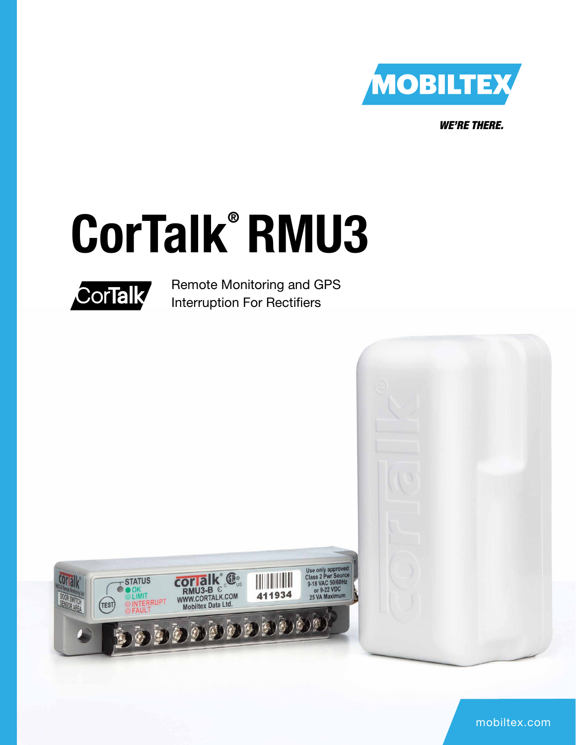

*WE'RE THERE.*

# CorTalk® RMU3



Remote Monitoring and GPS Interruption For Rectifiers

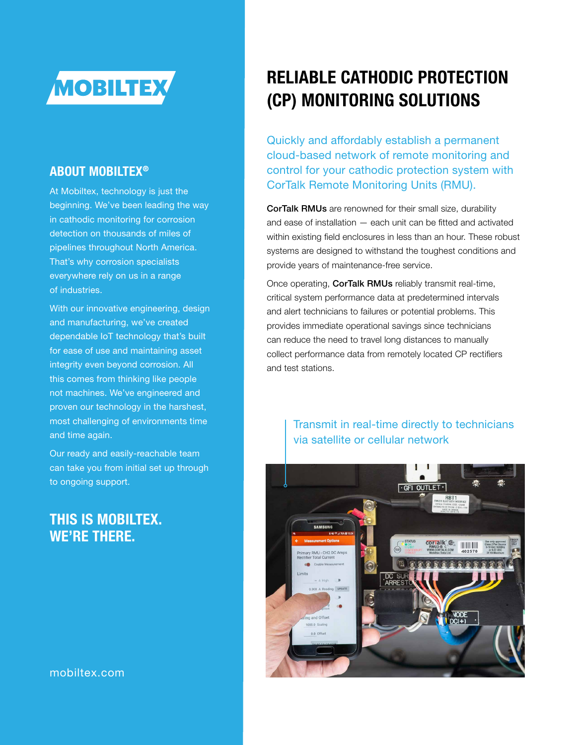

#### ABOUT MOBILTEX®

At Mobiltex, technology is just the beginning. We've been leading the way in cathodic monitoring for corrosion detection on thousands of miles of pipelines throughout North America. That's why corrosion specialists everywhere rely on us in a range of industries.

With our innovative engineering, design and manufacturing, we've created dependable IoT technology that's built for ease of use and maintaining asset integrity even beyond corrosion. All this comes from thinking like people not machines. We've engineered and proven our technology in the harshest, most challenging of environments time and time again.

Our ready and easily-reachable team can take you from initial set up through to ongoing support.

#### THIS IS MOBILTEX. WE'RE THERE.

## RELIABLE CATHODIC PROTECTION (CP) MONITORING SOLUTIONS

Quickly and affordably establish a permanent cloud-based network of remote monitoring and control for your cathodic protection system with CorTalk Remote Monitoring Units (RMU).

CorTalk RMUs are renowned for their small size, durability and ease of installation — each unit can be fitted and activated within existing field enclosures in less than an hour. These robust systems are designed to withstand the toughest conditions and provide years of maintenance-free service.

Once operating, CorTalk RMUs reliably transmit real-time, critical system performance data at predetermined intervals and alert technicians to failures or potential problems. This provides immediate operational savings since technicians can reduce the need to travel long distances to manually collect performance data from remotely located CP rectifiers and test stations.

#### Transmit in real-time directly to technicians via satellite or cellular network

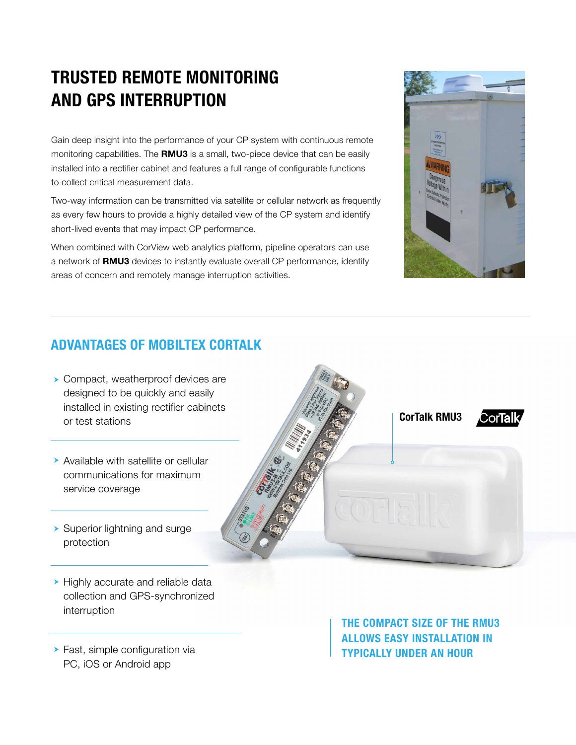## TRUSTED REMOTE MONITORING AND GPS INTERRUPTION

Gain deep insight into the performance of your CP system with continuous remote monitoring capabilities. The RMU3 is a small, two-piece device that can be easily installed into a rectifier cabinet and features a full range of configurable functions to collect critical measurement data.

Two-way information can be transmitted via satellite or cellular network as frequently as every few hours to provide a highly detailed view of the CP system and identify short-lived events that may impact CP performance.

When combined with CorView web analytics platform, pipeline operators can use a network of RMU3 devices to instantly evaluate overall CP performance, identify areas of concern and remotely manage interruption activities.



#### ADVANTAGES OF MOBILTEX CORTALK

- **> Compact, weatherproof devices are** designed to be quickly and easily installed in existing rectifier cabinets or test stations
- Available with satellite or cellular communications for maximum service coverage
- **> Superior lightning and surge** protection

Highly accurate and reliable data collection and GPS-synchronized interruption

**>** Fast, simple configuration via PC, iOS or Android app

CorTalk RMU3

THE COMPACT SIZE OF THE RMU3 ALLOWS EASY INSTALLATION IN TYPICALLY UNDER AN HOUR